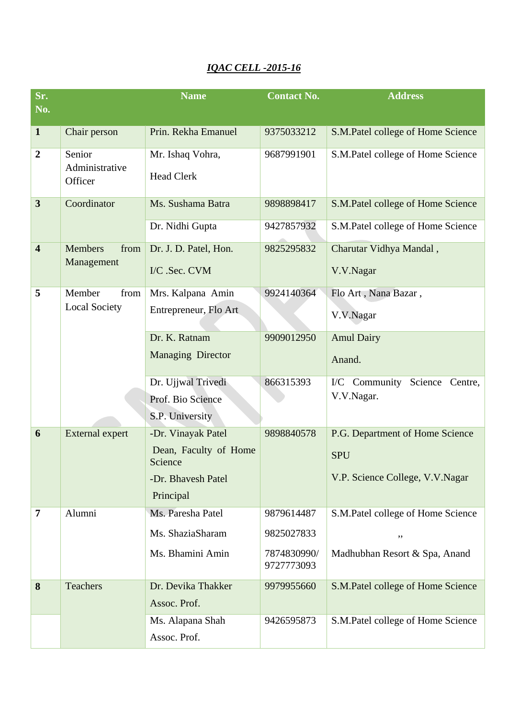## *IQAC CELL -2015-16*

| Sr.                     |                                      | <b>Name</b>                      | <b>Contact No.</b>        | <b>Address</b>                      |
|-------------------------|--------------------------------------|----------------------------------|---------------------------|-------------------------------------|
| No.                     |                                      |                                  |                           |                                     |
| $\mathbf{1}$            | Chair person                         | Prin. Rekha Emanuel              | 9375033212                | S.M.Patel college of Home Science   |
| $\overline{2}$          | Senior<br>Administrative<br>Officer  | Mr. Ishaq Vohra,                 | 9687991901                | S.M.Patel college of Home Science   |
|                         |                                      | <b>Head Clerk</b>                |                           |                                     |
| $\overline{\mathbf{3}}$ | Coordinator                          | Ms. Sushama Batra                | 9898898417                | S.M.Patel college of Home Science   |
|                         |                                      | Dr. Nidhi Gupta                  | 9427857932                | S.M.Patel college of Home Science   |
| $\overline{\mathbf{4}}$ | <b>Members</b><br>from<br>Management | Dr. J. D. Patel, Hon.            | 9825295832                | Charutar Vidhya Mandal,             |
|                         |                                      | I/C .Sec. CVM                    |                           | V.V.Nagar                           |
| 5                       | Member<br>from                       | Mrs. Kalpana Amin                | 9924140364                | Flo Art, Nana Bazar,                |
|                         | <b>Local Society</b>                 | Entrepreneur, Flo Art            |                           | V.V.Nagar                           |
|                         |                                      | Dr. K. Ratnam                    | 9909012950                | <b>Amul Dairy</b>                   |
|                         |                                      | <b>Managing Director</b>         |                           | Anand.                              |
|                         |                                      | Dr. Ujjwal Trivedi               | 866315393                 | I/C Community<br>Science<br>Centre, |
|                         |                                      | Prof. Bio Science                |                           | V.V.Nagar.                          |
|                         |                                      | S.P. University                  |                           |                                     |
| 6                       | <b>External expert</b>               | -Dr. Vinayak Patel               | 9898840578                | P.G. Department of Home Science     |
|                         |                                      | Dean, Faculty of Home<br>Science |                           | <b>SPU</b>                          |
|                         |                                      | -Dr. Bhavesh Patel               |                           | V.P. Science College, V.V.Nagar     |
|                         |                                      | Principal                        |                           |                                     |
| $\overline{7}$          | Alumni                               | Ms. Paresha Patel                | 9879614487                | S.M.Patel college of Home Science   |
|                         |                                      | Ms. ShaziaSharam                 | 9825027833                | ,,                                  |
|                         |                                      | Ms. Bhamini Amin                 | 7874830990/<br>9727773093 | Madhubhan Resort & Spa, Anand       |
| 8                       | Teachers                             | Dr. Devika Thakker               | 9979955660                | S.M.Patel college of Home Science   |
|                         |                                      | Assoc. Prof.                     |                           |                                     |
|                         |                                      | Ms. Alapana Shah                 | 9426595873                | S.M.Patel college of Home Science   |
|                         |                                      | Assoc. Prof.                     |                           |                                     |